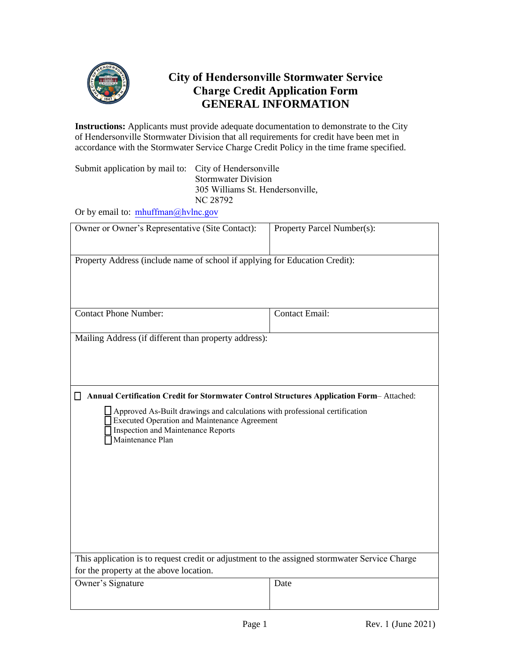

## **City of Hendersonville Stormwater Service Charge Credit Application Form GENERAL INFORMATION**

**Instructions:** Applicants must provide adequate documentation to demonstrate to the City of Hendersonville Stormwater Division that all requirements for credit have been met in accordance with the Stormwater Service Charge Credit Policy in the time frame specified.

Submit application by mail to: City of Hendersonville Stormwater Division 305 Williams St. Hendersonville, NC 28792

Or by email to:  $mhuffman@hvlnc.gov$  $mhuffman@hvlnc.gov$ 

| Owner or Owner's Representative (Site Contact):                                                                                                                                                     | Property Parcel Number(s): |  |
|-----------------------------------------------------------------------------------------------------------------------------------------------------------------------------------------------------|----------------------------|--|
| Property Address (include name of school if applying for Education Credit):                                                                                                                         |                            |  |
| <b>Contact Phone Number:</b>                                                                                                                                                                        | <b>Contact Email:</b>      |  |
| Mailing Address (if different than property address):                                                                                                                                               |                            |  |
|                                                                                                                                                                                                     |                            |  |
| Annual Certification Credit for Stormwater Control Structures Application Form-Attached:                                                                                                            |                            |  |
| $\Box$ Approved As-Built drawings and calculations with professional certification<br><b>Executed Operation and Maintenance Agreement</b><br>Inspection and Maintenance Reports<br>Maintenance Plan |                            |  |
|                                                                                                                                                                                                     |                            |  |
|                                                                                                                                                                                                     |                            |  |
|                                                                                                                                                                                                     |                            |  |
| This application is to request credit or adjustment to the assigned stormwater Service Charge                                                                                                       |                            |  |
| for the property at the above location.                                                                                                                                                             |                            |  |
| Owner's Signature                                                                                                                                                                                   | Date                       |  |